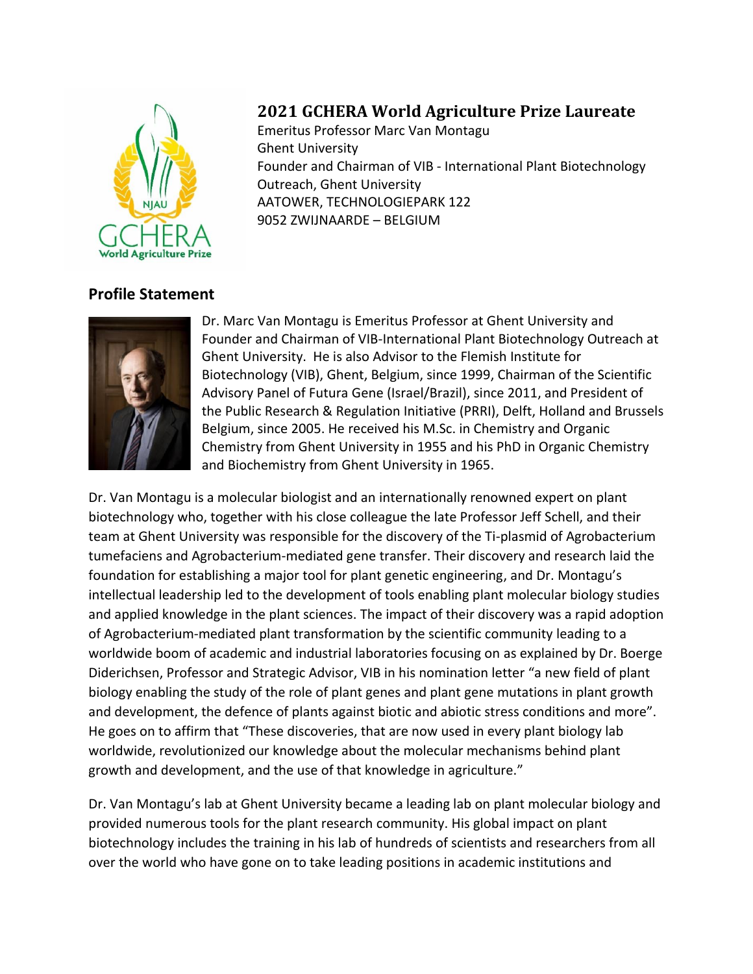

## **2021 GCHERA World Agriculture Prize Laureate**

Emeritus Professor Marc Van Montagu Ghent University Founder and Chairman of VIB - International Plant Biotechnology Outreach, Ghent University AATOWER, TECHNOLOGIEPARK 122 9052 ZWIJNAARDE – BELGIUM

## **Profile Statement**



Dr. Marc Van Montagu is Emeritus Professor at Ghent University and Founder and Chairman of VIB-International Plant Biotechnology Outreach at Ghent University. He is also Advisor to the Flemish Institute for Biotechnology (VIB), Ghent, Belgium, since 1999, Chairman of the Scientific Advisory Panel of Futura Gene (Israel/Brazil), since 2011, and President of the Public Research & Regulation Initiative (PRRI), Delft, Holland and Brussels Belgium, since 2005. He received his M.Sc. in Chemistry and Organic Chemistry from Ghent University in 1955 and his PhD in Organic Chemistry and Biochemistry from Ghent University in 1965.

Dr. Van Montagu is a molecular biologist and an internationally renowned expert on plant biotechnology who, together with his close colleague the late Professor Jeff Schell, and their team at Ghent University was responsible for the discovery of the Ti-plasmid of Agrobacterium tumefaciens and Agrobacterium-mediated gene transfer. Their discovery and research laid the foundation for establishing a major tool for plant genetic engineering, and Dr. Montagu's intellectual leadership led to the development of tools enabling plant molecular biology studies and applied knowledge in the plant sciences. The impact of their discovery was a rapid adoption of Agrobacterium-mediated plant transformation by the scientific community leading to a worldwide boom of academic and industrial laboratories focusing on as explained by Dr. Boerge Diderichsen, Professor and Strategic Advisor, VIB in his nomination letter "a new field of plant biology enabling the study of the role of plant genes and plant gene mutations in plant growth and development, the defence of plants against biotic and abiotic stress conditions and more". He goes on to affirm that "These discoveries, that are now used in every plant biology lab worldwide, revolutionized our knowledge about the molecular mechanisms behind plant growth and development, and the use of that knowledge in agriculture."

Dr. Van Montagu's lab at Ghent University became a leading lab on plant molecular biology and provided numerous tools for the plant research community. His global impact on plant biotechnology includes the training in his lab of hundreds of scientists and researchers from all over the world who have gone on to take leading positions in academic institutions and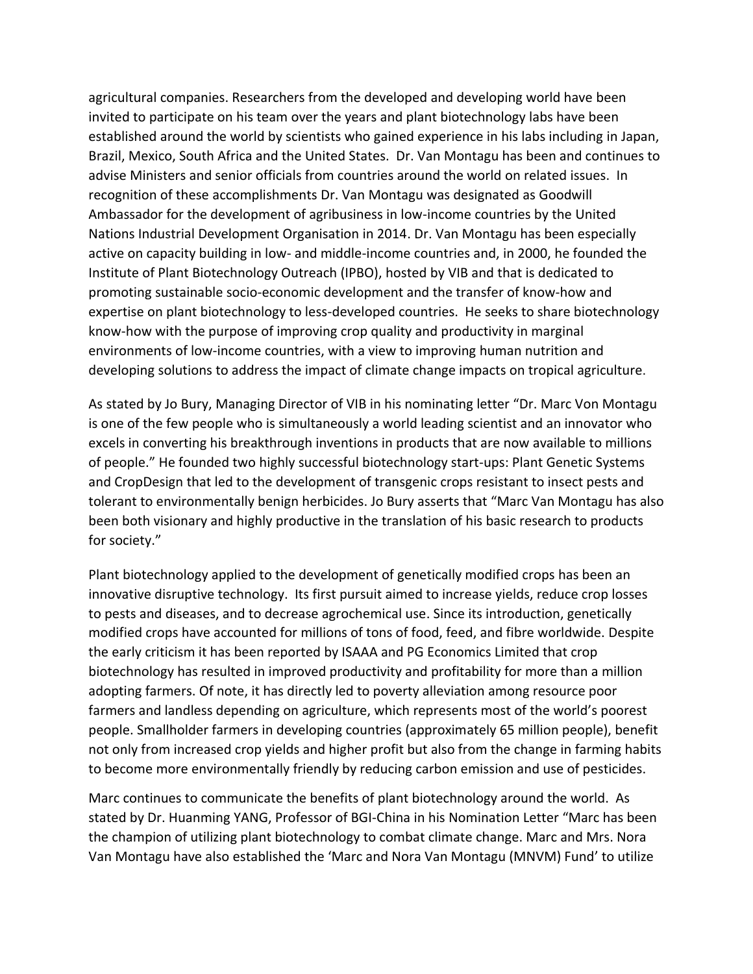agricultural companies. Researchers from the developed and developing world have been invited to participate on his team over the years and plant biotechnology labs have been established around the world by scientists who gained experience in his labs including in Japan, Brazil, Mexico, South Africa and the United States. Dr. Van Montagu has been and continues to advise Ministers and senior officials from countries around the world on related issues. In recognition of these accomplishments Dr. Van Montagu was designated as Goodwill Ambassador for the development of agribusiness in low-income countries by the United Nations Industrial Development Organisation in 2014. Dr. Van Montagu has been especially active on capacity building in low- and middle-income countries and, in 2000, he founded the Institute of Plant Biotechnology Outreach (IPBO), hosted by VIB and that is dedicated to promoting sustainable socio-economic development and the transfer of know-how and expertise on plant biotechnology to less-developed countries. He seeks to share biotechnology know-how with the purpose of improving crop quality and productivity in marginal environments of low-income countries, with a view to improving human nutrition and developing solutions to address the impact of climate change impacts on tropical agriculture.

As stated by Jo Bury, Managing Director of VIB in his nominating letter "Dr. Marc Von Montagu is one of the few people who is simultaneously a world leading scientist and an innovator who excels in converting his breakthrough inventions in products that are now available to millions of people." He founded two highly successful biotechnology start-ups: Plant Genetic Systems and CropDesign that led to the development of transgenic crops resistant to insect pests and tolerant to environmentally benign herbicides. Jo Bury asserts that "Marc Van Montagu has also been both visionary and highly productive in the translation of his basic research to products for society."

Plant biotechnology applied to the development of genetically modified crops has been an innovative disruptive technology. Its first pursuit aimed to increase yields, reduce crop losses to pests and diseases, and to decrease agrochemical use. Since its introduction, genetically modified crops have accounted for millions of tons of food, feed, and fibre worldwide. Despite the early criticism it has been reported by ISAAA and PG Economics Limited that crop biotechnology has resulted in improved productivity and profitability for more than a million adopting farmers. Of note, it has directly led to poverty alleviation among resource poor farmers and landless depending on agriculture, which represents most of the world's poorest people. Smallholder farmers in developing countries (approximately 65 million people), benefit not only from increased crop yields and higher profit but also from the change in farming habits to become more environmentally friendly by reducing carbon emission and use of pesticides.

Marc continues to communicate the benefits of plant biotechnology around the world. As stated by Dr. Huanming YANG, Professor of BGI-China in his Nomination Letter "Marc has been the champion of utilizing plant biotechnology to combat climate change. Marc and Mrs. Nora Van Montagu have also established the 'Marc and Nora Van Montagu (MNVM) Fund' to utilize